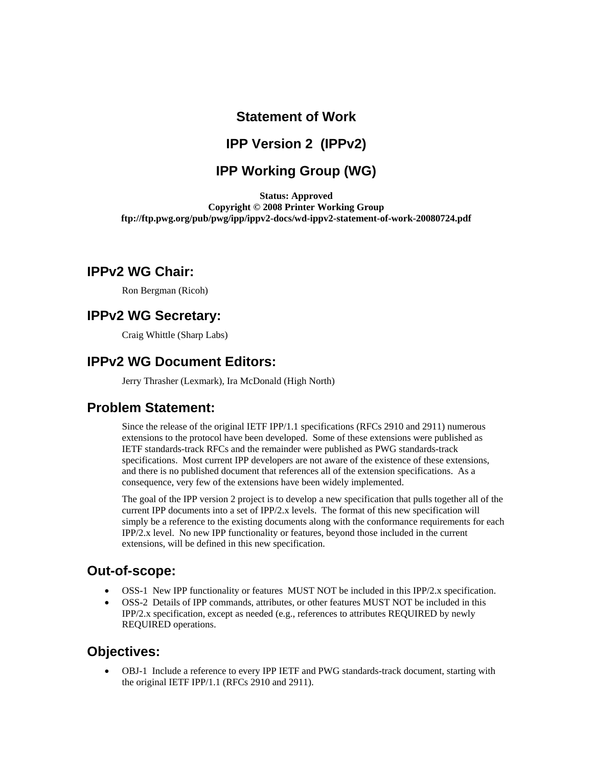# **Statement of Work**

## **IPP Version 2 (IPPv2)**

# **IPP Working Group (WG)**

**Status: Approved Copyright © 2008 Printer Working Group ftp://ftp.pwg.org/pub/pwg/ipp/ippv2-docs/wd-ippv2-statement-of-work-20080724.pdf** 

#### **IPPv2 WG Chair:**

Ron Bergman (Ricoh)

#### **IPPv2 WG Secretary:**

Craig Whittle (Sharp Labs)

## **IPPv2 WG Document Editors:**

Jerry Thrasher (Lexmark), Ira McDonald (High North)

## **Problem Statement:**

Since the release of the original IETF IPP/1.1 specifications (RFCs 2910 and 2911) numerous extensions to the protocol have been developed. Some of these extensions were published as IETF standards-track RFCs and the remainder were published as PWG standards-track specifications. Most current IPP developers are not aware of the existence of these extensions, and there is no published document that references all of the extension specifications. As a consequence, very few of the extensions have been widely implemented.

The goal of the IPP version 2 project is to develop a new specification that pulls together all of the current IPP documents into a set of IPP/2.x levels. The format of this new specification will simply be a reference to the existing documents along with the conformance requirements for each IPP/2.x level. No new IPP functionality or features, beyond those included in the current extensions, will be defined in this new specification.

## **Out-of-scope:**

- OSS-1 New IPP functionality or features MUST NOT be included in this IPP/2.x specification.
- OSS-2 Details of IPP commands, attributes, or other features MUST NOT be included in this IPP/2.x specification, except as needed (e.g., references to attributes REQUIRED by newly REQUIRED operations.

## **Objectives:**

• OBJ-1 Include a reference to every IPP IETF and PWG standards-track document, starting with the original IETF IPP/1.1 (RFCs 2910 and 2911).